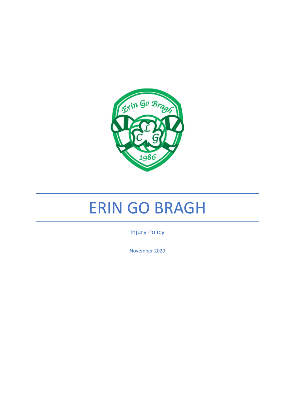

# ERIN GO BRAGH

Injury Policy

November 2020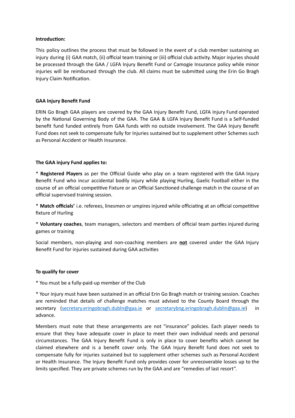#### **Introduction:**

This policy outlines the process that must be followed in the event of a club member sustaining an injury during (i) GAA match, (ii) official team training or (iii) official club activity. Major injuries should be processed through the GAA / LGFA Injury Benefit Fund or Camogie Insurance policy while minor injuries will be reimbursed through the club. All claims must be submitted using the Erin Go Bragh Injury Claim Notification.

## **GAA Injury Benefit Fund**

ERIN Go Bragh GAA players are covered by the GAA Injury Benefit Fund, LGFA Injury Fund operated by the National Governing Body of the GAA. The GAA & LGFA Injury Benefit Fund is a Self-funded benefit fund funded entirely from GAA funds with no outside involvement. The GAA Injury Benefit Fund does not seek to compensate fully for Injuries sustained but to supplement other Schemes such as Personal Accident or Health Insurance.

# **The GAA injury Fund applies to:**

\* **Registered Players** as per the Official Guide who play on a team registered with the GAA Injury Benefit Fund who incur accidental bodily injury while playing Hurling, Gaelic Football either in the course of an official competitive Fixture or an Official Sanctioned challenge match in the course of an official supervised training session.

\* Match officials' i.e. referees, linesmen or umpires injured while officiating at an official competitive fixture of Hurling

\* Voluntary coaches, team managers, selectors and members of official team parties injured during games or training

Social members, non-playing and non-coaching members are **not** covered under the GAA Injury Benefit Fund for injuries sustained during GAA activities

## **To qualify for cover**

\* You must be a fully-paid-up member of the Club

\* Your injury must have been sustained in an official Erin Go Bragh match or training session. Coaches are reminded that details of challenge matches must advised to the County Board through the secretary ([secretary.eringobragh.dubln@gaa.ie](mailto:secretary.eringobragh.dubln@gaa.ie) or [secretarybng.eringobragh.dublin@gaa.ie\)](mailto:secretarybng.eringobragh.dublin@gaa.ie) in advance.

Members must note that these arrangements are not "insurance" policies. Each player needs to ensure that they have adequate cover in place to meet their own individual needs and personal circumstances. The GAA Injury Benefit Fund is only in place to cover benefits which cannot be claimed elsewhere and is a benefit cover only. The GAA Injury Benefit fund does not seek to compensate fully for injuries sustained but to supplement other schemes such as Personal Accident or Health Insurance. The Injury Benefit Fund only provides cover for unrecoverable losses up to the limits specified. They are private schemes run by the GAA and are "remedies of last resort".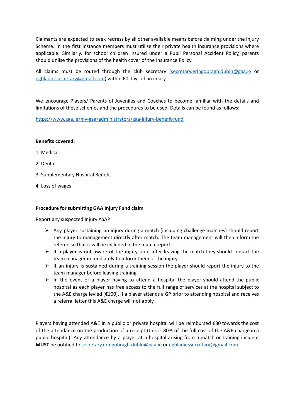Claimants are expected to seek redress by all other available means before claiming under the Injury Scheme. In the first instance members must utilise their private health insurance provisions where applicable. Similarly, for school children insured under a Pupil Personal Accident Policy, parents should utilise the provisions of the health cover of the Insurance Policy.

All claims must be routed through the club secretary ([secretary.eringobragh.dubln@gaa.ie](mailto:secretary.eringobragh.dubln@gaa.ie) or [egbladiessecretary@gmail.com](mailto:egbladiessecretary@gmail.com)) within 60 days of an injury.

We encourage Players/ Parents of Juveniles and Coaches to become familiar with the details and limitations of these schemes and the procedures to be used. Details can be found as follows:

https://www.gaa.ie/my-gaa/administrators/gaa-injury-benefit-fund

#### **Benefits covered:**

- 1. Medical
- 2. Dental
- 3. Supplementary Hospital Benefit
- 4. Loss of wages

#### **Procedure for submitting GAA Injury Fund claim**

Report any suspected Injury ASAP

- $\triangleright$  Any player sustaining an injury during a match (including challenge matches) should report the injury to management directly after match. The team management will then inform the referee so that it will be included in the match report.
- $\triangleright$  If a player is not aware of the injury until after leaving the match they should contact the team manager immediately to inform them of the injury.
- $\triangleright$  If an injury is sustained during a training session the player should report the injury to the team manager before leaving training.
- $\triangleright$  In the event of a player having to attend a hospital the player should attend the public hospital as each player has free access to the full range of services at the hospital subject to the A&E charge levied ( $€100$ ). If a player attends a GP prior to attending hospital and receives a referral letter this A&E charge will not apply.

Players having attended A&E in a public or private hospital will be reimbursed  $\epsilon$ 80 towards the cost of the attendance on the production of a receipt (this is 80% of the full cost of the A&E charge in a public hospital). Any attendance by a player at a hospital arising from a match or training incident **MUST** be nofied to [secretary.eringobragh.dubln@gaa.ie](mailto:secretary.eringobragh.dubln@gaa.ie) or [egbladiessecretary@gmail.com](mailto:egbladiessecretary@gmail.com)